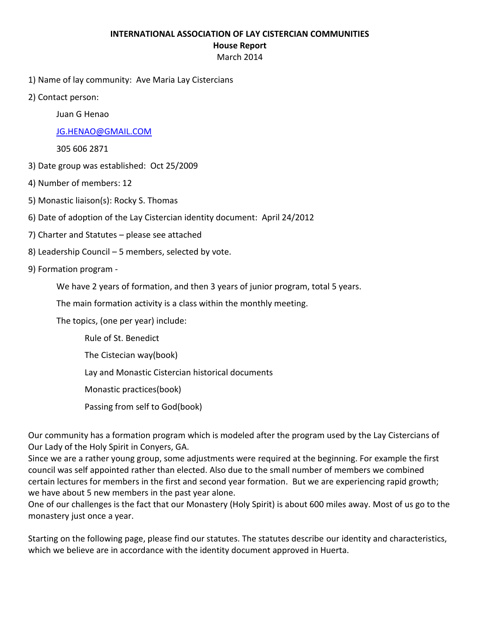#### **INTERNATIONAL ASSOCIATION OF LAY CISTERCIAN COMMUNITIES**

### **House Report**

### March 2014

- 1) Name of lay community: Ave Maria Lay Cistercians
- 2) Contact person:

Juan G Henao

# [JG.HENAO@GMAIL.COM](mailto:JG.HENAO@GMAIL.COM)

305 606 2871

- 3) Date group was established: Oct 25/2009
- 4) Number of members: 12
- 5) Monastic liaison(s): Rocky S. Thomas
- 6) Date of adoption of the Lay Cistercian identity document: April 24/2012
- 7) Charter and Statutes please see attached
- 8) Leadership Council 5 members, selected by vote.
- 9) Formation program
	- We have 2 years of formation, and then 3 years of junior program, total 5 years.

The main formation activity is a class within the monthly meeting.

The topics, (one per year) include:

Rule of St. Benedict The Cistecian way(book) Lay and Monastic Cistercian historical documents Monastic practices(book) Passing from self to God(book)

Our community has a formation program which is modeled after the program used by the Lay Cistercians of Our Lady of the Holy Spirit in Conyers, GA.

Since we are a rather young group, some adjustments were required at the beginning. For example the first council was self appointed rather than elected. Also due to the small number of members we combined certain lectures for members in the first and second year formation. But we are experiencing rapid growth; we have about 5 new members in the past year alone.

One of our challenges is the fact that our Monastery (Holy Spirit) is about 600 miles away. Most of us go to the monastery just once a year.

Starting on the following page, please find our statutes. The statutes describe our identity and characteristics, which we believe are in accordance with the identity document approved in Huerta.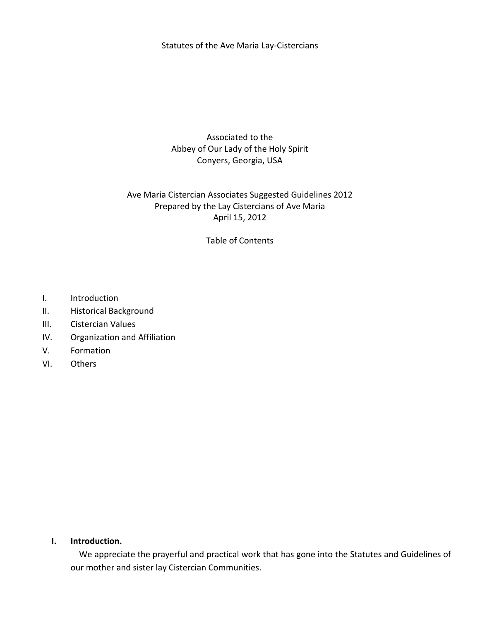Statutes of the Ave Maria Lay-Cistercians

Associated to the Abbey of Our Lady of the Holy Spirit Conyers, Georgia, USA

## Ave Maria Cistercian Associates Suggested Guidelines 2012 Prepared by the Lay Cistercians of Ave Maria April 15, 2012

Table of Contents

- I. Introduction
- II. Historical Background
- III. Cistercian Values
- IV. Organization and Affiliation
- V. Formation
- VI. Others

#### **I. Introduction.**

 We appreciate the prayerful and practical work that has gone into the Statutes and Guidelines of our mother and sister lay Cistercian Communities.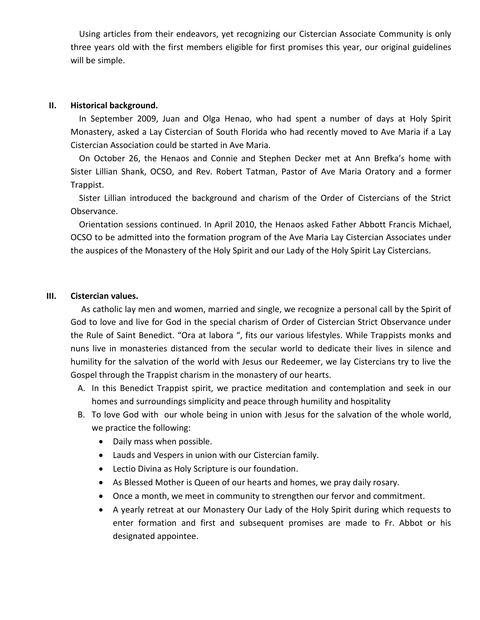Using articles from their endeavors, yet recognizing our Cistercian Associate Community is only three years old with the first members eligible for first promises this year, our original guidelines will be simple.

### **II. Historical background.**

 In September 2009, Juan and Olga Henao, who had spent a number of days at Holy Spirit Monastery, asked a Lay Cistercian of South Florida who had recently moved to Ave Maria if a Lay Cistercian Association could be started in Ave Maria.

 On October 26, the Henaos and Connie and Stephen Decker met at Ann Brefka's home with Sister Lillian Shank, OCSO, and Rev. Robert Tatman, Pastor of Ave Maria Oratory and a former Trappist.

 Sister Lillian introduced the background and charism of the Order of Cistercians of the Strict Observance.

 Orientation sessions continued. In April 2010, the Henaos asked Father Abbott Francis Michael, OCSO to be admitted into the formation program of the Ave Maria Lay Cistercian Associates under the auspices of the Monastery of the Holy Spirit and our Lady of the Holy Spirit Lay Cistercians.

#### **III. Cistercian values.**

 As catholic lay men and women, married and single, we recognize a personal call by the Spirit of God to love and live for God in the special charism of Order of Cistercian Strict Observance under the Rule of Saint Benedict. "Ora at labora ", fits our various lifestyles. While Trappists monks and nuns live in monasteries distanced from the secular world to dedicate their lives in silence and humility for the salvation of the world with Jesus our Redeemer, we lay Cistercians try to live the Gospel through the Trappist charism in the monastery of our hearts.

- A. In this Benedict Trappist spirit, we practice meditation and contemplation and seek in our homes and surroundings simplicity and peace through humility and hospitality
- B. To love God with our whole being in union with Jesus for the salvation of the whole world, we practice the following:
	- Daily mass when possible.
	- Lauds and Vespers in union with our Cistercian family.
	- Lectio Divina as Holy Scripture is our foundation.
	- As Blessed Mother is Queen of our hearts and homes, we pray daily rosary.
	- Once a month, we meet in community to strengthen our fervor and commitment.
	- A yearly retreat at our Monastery Our Lady of the Holy Spirit during which requests to enter formation and first and subsequent promises are made to Fr. Abbot or his designated appointee.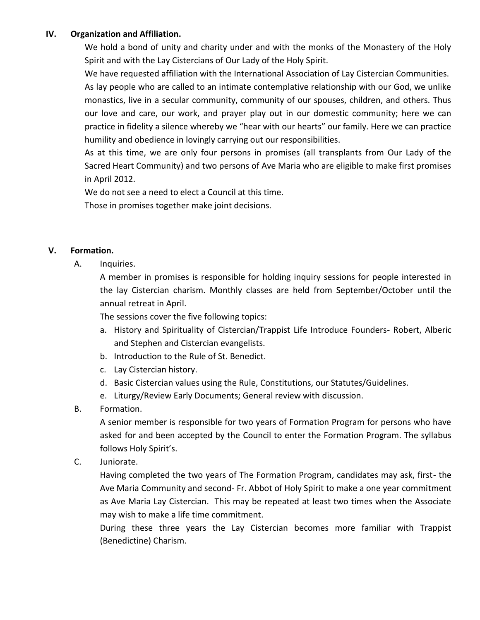## **IV. Organization and Affiliation.**

We hold a bond of unity and charity under and with the monks of the Monastery of the Holy Spirit and with the Lay Cistercians of Our Lady of the Holy Spirit.

We have requested affiliation with the International Association of Lay Cistercian Communities. As lay people who are called to an intimate contemplative relationship with our God, we unlike monastics, live in a secular community, community of our spouses, children, and others. Thus our love and care, our work, and prayer play out in our domestic community; here we can practice in fidelity a silence whereby we "hear with our hearts" our family. Here we can practice humility and obedience in lovingly carrying out our responsibilities.

As at this time, we are only four persons in promises (all transplants from Our Lady of the Sacred Heart Community) and two persons of Ave Maria who are eligible to make first promises in April 2012.

We do not see a need to elect a Council at this time. Those in promises together make joint decisions.

### **V. Formation.**

A. Inquiries.

A member in promises is responsible for holding inquiry sessions for people interested in the lay Cistercian charism. Monthly classes are held from September/October until the annual retreat in April.

The sessions cover the five following topics:

- a. History and Spirituality of Cistercian/Trappist Life Introduce Founders- Robert, Alberic and Stephen and Cistercian evangelists.
- b. Introduction to the Rule of St. Benedict.
- c. Lay Cistercian history.
- d. Basic Cistercian values using the Rule, Constitutions, our Statutes/Guidelines.
- e. Liturgy/Review Early Documents; General review with discussion.
- B. Formation.

A senior member is responsible for two years of Formation Program for persons who have asked for and been accepted by the Council to enter the Formation Program. The syllabus follows Holy Spirit's.

C. Juniorate.

Having completed the two years of The Formation Program, candidates may ask, first- the Ave Maria Community and second- Fr. Abbot of Holy Spirit to make a one year commitment as Ave Maria Lay Cistercian. This may be repeated at least two times when the Associate may wish to make a life time commitment.

During these three years the Lay Cistercian becomes more familiar with Trappist (Benedictine) Charism.